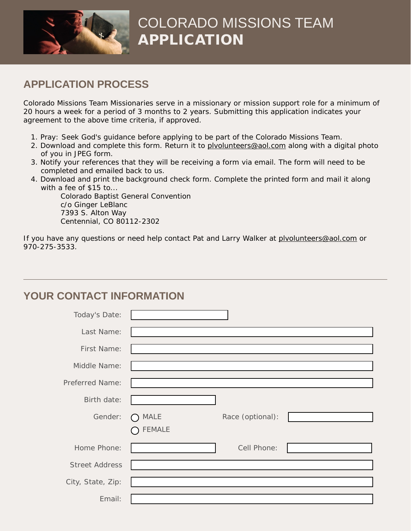

# COLORADO MISSIONS TEAM APPLICATION

#### **APPLICATION PROCESS**

Colorado Missions Team Missionaries serve in a missionary or mission support role for a minimum of 20 hours a week for a period of 3 months to 2 years. Submitting this application indicates your agreement to the above time criteria, if approved.

- 1. Pray: Seek God's guidance before applying to be part of the Colorado Missions Team.
- 2. Download and complete this form. Return it to plvolunteers@aol.com along with a digital photo of you in JPEG form.
- 3. Notify your references that they will be receiving a form via email. The form will need to be completed and emailed back to us.
- 4. Download and print the background check form. Complete the printed form and mail it along with a fee of \$15 to...

 Colorado Baptist General Convention c/o Ginger LeBlanc 7393 S. Alton Way Centennial, CO 80112-2302

If you have any questions or need help contact Pat and Larry Walker at plvolunteers@aol.com or 970-275-3533.

### **YOUR CONTACT INFORMATION**

| Today's Date:         |                              |                  |  |
|-----------------------|------------------------------|------------------|--|
| Last Name:            |                              |                  |  |
| First Name:           |                              |                  |  |
| Middle Name:          |                              |                  |  |
| Preferred Name:       |                              |                  |  |
| Birth date:           |                              |                  |  |
|                       |                              |                  |  |
| Gender:               | <b>MALE</b><br><b>FEMALE</b> | Race (optional): |  |
| Home Phone:           |                              | Cell Phone:      |  |
| <b>Street Address</b> |                              |                  |  |
| City, State, Zip:     |                              |                  |  |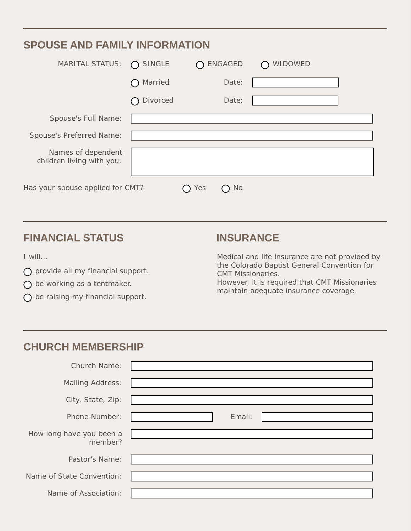| <b>SPOUSE AND FAMILY INFORMATION</b>            |                  |                                                               |                |  |
|-------------------------------------------------|------------------|---------------------------------------------------------------|----------------|--|
| MARITAL STATUS:                                 | $\bigcap$ SINGLE | <b>ENGAGED</b><br>$\left(\begin{array}{c} \end{array}\right)$ | <b>WIDOWED</b> |  |
|                                                 | Married          | Date:                                                         |                |  |
|                                                 | Divorced         | Date:                                                         |                |  |
| Spouse's Full Name:                             |                  |                                                               |                |  |
| Spouse's Preferred Name:                        |                  |                                                               |                |  |
| Names of dependent<br>children living with you: |                  |                                                               |                |  |
| Has your spouse applied for CMT?<br>No.<br>Yes  |                  |                                                               |                |  |

#### **FINANCIAL STATUS INSURANCE**

I will...

- $\bigcirc$  provide all my financial support.
- $\bigcap$  be working as a tentmaker.
- $\bigcap$  be raising my financial support.

Medical and life insurance are not provided by the Colorado Baptist General Convention for CMT Missionaries. However, it is required that CMT Missionaries maintain adequate insurance coverage.

#### **CHURCH MEMBERSHIP**

| Church Name:                        |        |
|-------------------------------------|--------|
| <b>Mailing Address:</b>             |        |
| City, State, Zip:                   |        |
| Phone Number:                       | Email: |
| How long have you been a<br>member? |        |
| Pastor's Name:                      |        |
| Name of State Convention:           |        |
| Name of Association:                |        |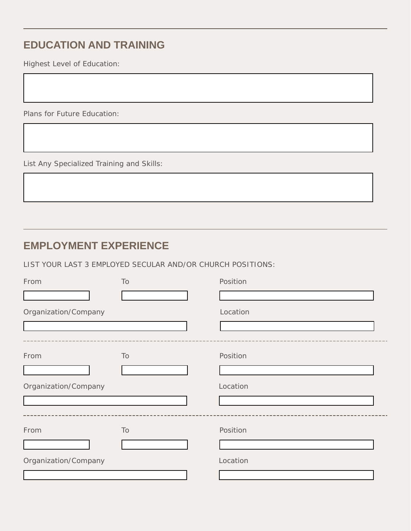## **EDUCATION AND TRAINING**

Highest Level of Education:

Plans for Future Education:

List Any Specialized Training and Skills:

#### **EMPLOYMENT EXPERIENCE**

LIST YOUR LAST 3 EMPLOYED SECULAR AND/OR CHURCH POSITIONS:

| From                 | To | Position |
|----------------------|----|----------|
|                      |    |          |
| Organization/Company |    | Location |
|                      |    |          |
|                      |    |          |
| From                 | To | Position |
|                      |    |          |
| Organization/Company |    | Location |
|                      |    |          |
|                      |    |          |
| From                 | To | Position |
|                      |    |          |
| Organization/Company |    | Location |
|                      |    |          |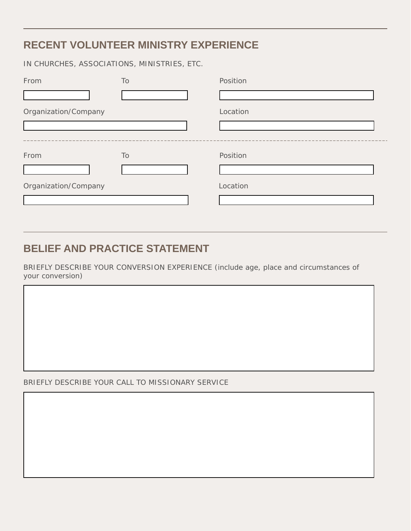### **RECENT VOLUNTEER MINISTRY EXPERIENCE**

IN CHURCHES, ASSOCIATIONS, MINISTRIES, ETC.

| From                 | To | Position |
|----------------------|----|----------|
|                      |    |          |
| Organization/Company |    | Location |
|                      |    |          |
|                      |    |          |
| From                 | To | Position |
|                      |    |          |
| Organization/Company |    | Location |
|                      |    |          |

#### **BELIEF AND PRACTICE STATEMENT**

BRIEFLY DESCRIBE YOUR CONVERSION EXPERIENCE (include age, place and circumstances of your conversion)

BRIEFLY DESCRIBE YOUR CALL TO MISSIONARY SERVICE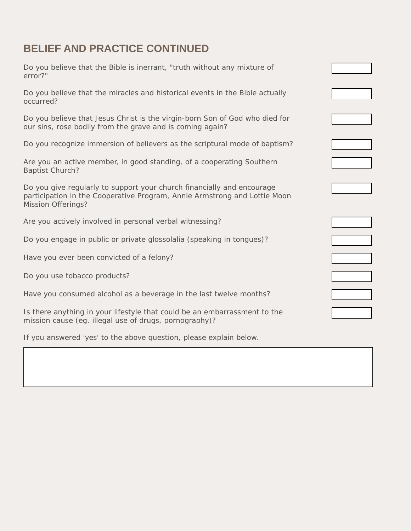### **BELIEF AND PRACTICE CONTINUED**

| Do you believe that the Bible is inerrant, "truth without any mixture of<br>error?"                                                                                              |                             |
|----------------------------------------------------------------------------------------------------------------------------------------------------------------------------------|-----------------------------|
| Do you believe that the miracles and historical events in the Bible actually<br>occurred?                                                                                        | $\mathbf{v}$                |
| Do you believe that Jesus Christ is the virgin-born Son of God who died for<br>our sins, rose bodily from the grave and is coming again?                                         | ▼∣                          |
| Do you recognize immersion of believers as the scriptural mode of baptism?                                                                                                       | $\vert \mathbf{v} \vert$    |
| Are you an active member, in good standing, of a cooperating Southern<br><b>Baptist Church?</b>                                                                                  | ▼∣                          |
| Do you give regularly to support your church financially and encourage<br>participation in the Cooperative Program, Annie Armstrong and Lottie Moon<br><b>Mission Offerings?</b> |                             |
| Are you actively involved in personal verbal witnessing?                                                                                                                         | $\vert \mathbf{v} \vert$    |
| Do you engage in public or private glossolalia (speaking in tongues)?                                                                                                            | $\vert \mathbf{v} \vert$    |
| Have you ever been convicted of a felony?                                                                                                                                        | $\left  \cdot \right $      |
| Do you use tobacco products?                                                                                                                                                     | $\vert \mathbf{v} \vert$    |
| Have you consumed alcohol as a beverage in the last twelve months?                                                                                                               | $\left  \cdot \right $      |
| Is there anything in your lifestyle that could be an embarrassment to the<br>mission cause (eg. illegal use of drugs, pornography)?                                              | $\left  \mathbf{v} \right $ |

If you answered 'yes' to the above question, please explain below.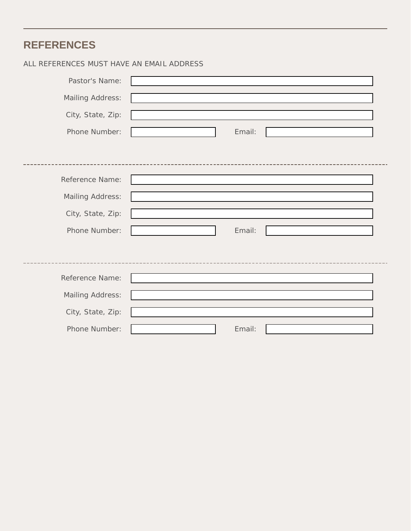## **REFERENCES**

#### ALL REFERENCES MUST HAVE AN EMAIL ADDRESS

| Pastor's Name:          |        |
|-------------------------|--------|
| <b>Mailing Address:</b> |        |
| City, State, Zip:       |        |
| Phone Number:           | Email: |
|                         |        |
|                         |        |
| Reference Name:         |        |
| Mailing Address:        |        |
| City, State, Zip:       |        |
| Phone Number:           | Email: |
|                         |        |
|                         |        |
| Reference Name:         |        |
| Mailing Address:        |        |
| City, State, Zip:       |        |
| Phone Number:           | Email: |
|                         |        |